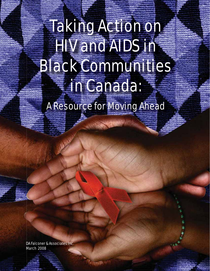# Taking Action on HIV and AIDS in Black Communities in Canada:

A Resource for Moving Ahead

DA Falconer & Associates Inc. March 2008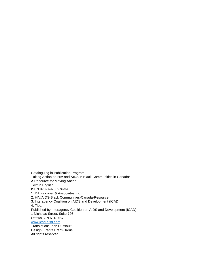Cataloguing in Publication Program Taking Action on HIV and AIDS in Black Communities in Canada: A Resource for Moving Ahead Text in English ISBN 978-0-9736976-3-6 1. DA Falconer & Associates Inc.

2. HIV/AIDS-Black Communities-Canada-Resource.

3. Interagency Coalition on AIDS and Development (ICAD).

4. Title.

Published by Interagency Coalition on AIDS and Development (ICAD) 1 Nicholas Street, Suite 726

Ottawa, ON K1N 7B7

www.icad-cisd.com

Translation: Jean Dussault Design: Frantz Brent-Harris All rights reserved.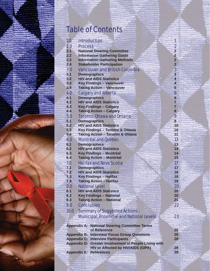# Table of Contents

| 1.0        | <b>Introduction</b>                                                        | 1                       |
|------------|----------------------------------------------------------------------------|-------------------------|
| 2.0        | <b>Process</b>                                                             | $\overline{2}$          |
| 2.1        | <b>National Steering Committee</b>                                         | $\overline{2}$          |
| 2.2        | <b>Information Gathering Guide</b>                                         | $\overline{2}$          |
| 2.3        | <b>Information Gathering Methods</b>                                       | $\overline{2}$          |
| 2.4        | <b>Stakeholder Participation</b>                                           | $\overline{2}$          |
| 3.0        | <b>Vancouver and British Columbia</b>                                      | $\overline{\mathbf{3}}$ |
| 3.1        | <b>Demographics</b>                                                        | $\overline{\mathbf{3}}$ |
| 3.2        | <b>HIV and AIDS Statistics</b>                                             | $\overline{\mathbf{4}}$ |
| 3.3        | <b>Key Findings - Vancouver</b>                                            | $\overline{\mathbf{4}}$ |
| 3.4        | <b>Taking Action - Vancouver</b>                                           | $5\overline{5}$         |
| 4.0        | <b>Calgary and Alberta</b>                                                 | 6                       |
| 4.1        | <b>Demographics</b>                                                        | $6\phantom{a}$          |
| 4.2        | <b>HIV and AIDS Statistics</b>                                             | $\overline{7}$          |
| 4.3<br>4.4 | <b>Key Findings - Calgary</b>                                              | $\overline{7}$<br>8     |
|            | <b>Taking Action - Calgary</b>                                             |                         |
| 5.0        | <b>Toronto, Ottawa and Ontario</b>                                         | 9                       |
| 5.1<br>5.2 | <b>Demographics</b><br><b>HIV and AIDS Statistics</b>                      | 9<br>10                 |
| 5.3        | Key Findings - Toronto & Ottawa                                            | 10                      |
| 5.4        | <b>Taking Action - Toronto &amp; Ottawa</b>                                | 11                      |
| 6.0        | <b>Montréal and Québec</b>                                                 | 13                      |
| 6.1        | <b>Demographics</b>                                                        | 13                      |
| 6.2        | <b>HIV and AIDS Statistics</b>                                             | 14                      |
| 6.3        | <b>Key Findings - Montréal</b>                                             | 14                      |
| 6.4        | <b>Taking Action - Montréal</b>                                            | 15                      |
| 7.0        | <b>Halifax and Nova Scotia</b>                                             | 17                      |
| 7.1        | <b>Demographics</b>                                                        | 17                      |
| 7.2        | <b>HIV and AIDS Statistics</b>                                             | 18                      |
| 7.3        | <b>Key Findings - Halifax</b>                                              | 18                      |
| 7.4        | <b>Taking Action - Halifax</b>                                             | 19                      |
| 8.0        | <b>National Level</b>                                                      | 20                      |
| 8.1        | <b>HIV and AIDS Statistics</b>                                             | 20                      |
| 8.2        | <b>Key Findings - National</b>                                             | 20                      |
| 8.3        | <b>Taking Action - National</b>                                            | 21                      |
| 9.0        | <b>Conclusion</b>                                                          | $22 \,$                 |
| 10.0       | <b>Summary of Suggested Actions -</b>                                      |                         |
|            | <b>Municipal, Provincial and National Levels</b>                           | 23                      |
|            |                                                                            |                         |
|            | <b>Appendix A: National Steering Committee Terms</b>                       |                         |
|            | of Reference                                                               | 25                      |
|            | <b>Appendix B: Interview/ Focus Group Questions</b>                        | 26                      |
|            | <b>Appendix C: Interview Participants</b>                                  | 28                      |
|            | Appendix D: Greater Involvement of People Living with                      |                         |
|            | <b>HIV or Affected by HIV/AIDS (GIPA)</b><br><b>Appendix E: References</b> | 29<br>39                |
|            |                                                                            |                         |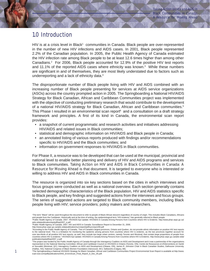## 1.0 Introduction

HIV is at a crisis level in Black<sup>1</sup> communities in Canada. Black people are over-represented in the number of new HIV infections and AIDS cases. In 2001, Black people represented 2.2% of the Canadian population. In 2005, the Public Health Agency of Canada estimated the HIV infection rate among Black people to be at least 12.6 times higher than among other Canadians.2 For 2006, Black people accounted for 12.9% of the positive HIV test reports and 11.1% of the reported AIDS cases where ethnicity was known.<sup>3</sup> While these numbers are significant in and of themselves, they are most likely understated due to factors such as underreporting and a lack of ethnicity data.<sup>4</sup>

The disproportionate number of Black people living with HIV and AIDS combined with an increasing number of Black people presenting for services at AIDS service organizations (ASOs) across the country prompted action in 2005. The Springboarding a National HIV/AIDS Strategy for Black Canadian, African and Caribbean Communities project was implemented with the objective of conducting preliminary research that would contribute to the development of a national HIV/AIDS strategy for Black Canadian, African and Caribbean communities.<sup>5</sup> This Phase I resulted in an environmental scan report $\mathfrak e$  and a consultation on a draft strategy framework and principles. A first of its kind in Canada, the environmental scan report provides:

- a snapshot of current programmatic and research activities and initiatives addressing HIV/AIDS and related issues in Black communities;
- statistical and demographic information on HIV/AIDS and Black people in Canada;
- an annotated listing of various reports produced with findings and/or recommendations specific to HIV/AIDS and the Black communities; and
- information on government responses to HIV/AIDS in Black communities.

For Phase II, a resource was to be developed that can be used at the municipal, provincial and national level to enable better planning and delivery of HIV and AIDS programs and services to Black communities. *Taking Action on HIV and AIDS in Black Communities in Canada: A Resource for Moving Ahead* is that document. It is targeted to everyone who is interested or willing to address HIV and AIDS in Black communities in Canada.

The resource is organized into six key sections based on the cities in which interviews and focus groups were conducted as well as a national overview. Each section generally contains selected demographic characteristics of the Black population, HIV and AIDS statistics specific to Black people, and key findings and suggested actions from the interviews and focus groups. The series of suggested actions are targeted to Black community members, including Black people living with HIV; service providers; policy makers and researchers.

<sup>1</sup> The term "Black" will be used throughout the document to refer to people of Black African descent regardless of country of origin. This includes Black Canadians, Africans and people from the Caribbean. Historically and at the time of writing, the epidemiological term "HIV-endemic" has generally referred to Black people.<br><sup>2</sup>Public Health Agency of Canada. 2007. HIV/AIDS Epi Update: HIV/AIDS

aids-sida/publication/epi/pdf/epi2007\_e.pdf

<sup>3</sup> Public Health Agency of Canada. 2007. HIV and AIDS in Canada: Surveillance Report to December 31, 2006. http://www.phac-aspc.gc.ca/aids-sida/publication/survreport/pdf/survrep1206.pdf

<sup>4</sup> According to the Public Health Agency of Canada, "Two of Canadas largest provinces, Ontario and Quebec, do not provide ethnic information on positive HIV test reports to the national level. This is a limitation for monitoring the epidemic among persons from countries where HIV is endemic, as the two provinces together account for over two-thirds of all positive HIV test reports; as well, they include two large urban centres, namely Toronto and Montreal, that contain large proportions of people from countries where HIV is endemic." HIV/AIDS Epi Update: HIV/AIDS in Canada Among Persons from Countries where HIV is Endemic. http://www.phac-aspc.gc.ca/aids-sida/

publication/epi/pdf/epi2007\_e.pdf<br><sup>s</sup>The project was funded by the Public Health Agency of Canada through the Interagency Coalition on AIDS and Development and it was a partnership of the organizations represented on the National Steering Committee: African and Caribbean Council on HIV/AIDS in Ontario (Toronto, ON); Centre de Ressources et dInterventions en Santé et Sexualité (Montreal, QC); Interagency Coalition on AIDS and Development (Ottawa, ON); James R. Johnston Chair in Black Canadian Studies, Dalhousie University<br>(Halifax, NS); National Congress of Black Women Foundation (V

<sup>6</sup> The Springboarding a National HIV/AIDS Strategy for Black Canadian, African and Caribbean Communities Project Environmental Scan Report is available at http://www. icad-cisd.com/pdf/publications/SNS\_EnviroScan\_Final\_Report\_9\_Dec\_05.pdf.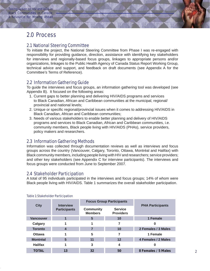## 2.0 Process

#### 2.1 National Steering Committee

To initiate the project, the National Steering Committee from Phase I was re-engaged with responsibility for providing guidance, direction, assistance with identifying key stakeholders for interviews and regionally-based focus groups, linkages to appropriate persons and/or organizations, linkages to the Public Health Agency of Canada Status Report Working Group, technical advice and support, and feedback on draft documents (see Appendix A for the Committee's Terms of Reference).

#### 2.2 Information Gathering Guide

To guide the interviews and focus groups, an information gathering tool was developed (see Appendix B). It focused on the following areas:

- 1. Current gaps to better planning and delivering HIV/AIDS programs and services to Black Canadian, African and Caribbean communities at the municipal, regional/ provincial and national levels;
- 2. Unique or specific regional/provincial issues when it comes to addressing HIV/AIDS in Black Canadian, African and Caribbean communities;
- 3. Needs of various stakeholders to enable better planning and delivery of HIV/AIDS programs and services to Black Canadian, African and Caribbean communities, i.e. community members, Black people living with HIV/AIDS (PHAs), service providers, policy makers and researchers.

#### 2.3 Information Gathering Methods

Information was collected through documentation reviews as well as interviews and focus groups across the country (Vancouver, Calgary, Toronto, Ottawa, Montréal and Halifax) with Black community members, including people living with HIV and researchers; service providers; and other key stakeholders (see Appendix C for interview participants). The interviews and focus groups were conducted from June to September 2007.

#### 2.4 Stakeholder Participation

A total of 95 individuals participated in the interviews and focus groups; 14% of whom were Black people living with HIV/AIDS. Table 1 summarizes the overall stakeholder participation.

| <b>City</b>      | <b>Interview</b>    |    | <b>Focus Group Participants</b>    | <b>PHA Participants</b> |
|------------------|---------------------|----|------------------------------------|-------------------------|
|                  | <b>Participants</b> |    | <b>Service</b><br><b>Providers</b> |                         |
| <b>Vancouver</b> |                     | 5  | 10                                 | 1 Female                |
| Calgary          |                     |    | 7                                  | O                       |
| <b>Toronto</b>   | $\boldsymbol{4}$    |    | 10                                 | 2 Females / 3 Males     |
| <b>Ottawa</b>    |                     | 5  | 7                                  | 1 Female                |
| <b>Montréal</b>  | 5                   | 11 | 12                                 | 4 Females / 2 Males     |
| <b>Halifax</b>   |                     | 3  | 4                                  |                         |
| TOTAL            | 13                  | 32 | 50                                 | 8 Females / 5 Males     |

#### Table 1: Stakeholder Participation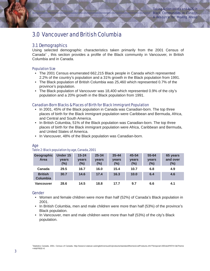## 3.0 Vancouver and British Columbia

#### 3.1 Demographics

Using selected demographic characteristics taken primarily from the 2001 Census of Canada<sup>7</sup>, this section provides a profile of the Black community in Vancouver, in British Columbia and in Canada.

#### Population Size

- The 2001 Census enumerated 662,215 Black people in Canada which represented 2.2% of the country's population and a 31% growth in the Black population from 1991.
- The Black population of British Columbia was 25,460 which represented 0.7% of the province's population.
- The Black population of Vancouver was 18,400 which represented 0.9% of the city's population and a 20% growth in the Black population from 1991.

#### Canadian-Born Blacks & Places of Birth for Black Immigrant Population

- In 2001, 45% of the Black population in Canada was Canadian-born. The top three places of birth for the Black immigrant population were Caribbean and Bermuda, Africa, and Central and South America.
- In British Columbia, 51% of the Black population was Canadian-born. The top three places of birth for the Black immigrant population were Africa, Caribbean and Bermuda, and United States of America.
- In Vancouver, 48% of the Black population was Canadian-born.

| Geographic<br>Area                | Under 15<br><b>vears</b><br>$(\%)$ | $15 - 24$<br><b>vears</b><br>$(\%)$ | 25-34<br><b>vears</b><br>$(\%)$ | $35 - 44$<br><b>vears</b><br>$(\%)$ | 45-54<br><b>vears</b><br>$(\%)$ | 55-64<br><b>vears</b><br>(%) | 65 years<br>and over<br>(%) |
|-----------------------------------|------------------------------------|-------------------------------------|---------------------------------|-------------------------------------|---------------------------------|------------------------------|-----------------------------|
| Canada                            | 29.5                               | 16.7                                | 16.0                            | 15.4                                | 10.7                            | 6.8                          | 4.9                         |
| <b>British</b><br><b>Columbia</b> | 30.7                               | 14.6                                | 17.4                            | 16.3                                | 10.0                            | 6.4                          | 4.6                         |
| <b>Vancouver</b>                  | 28.6                               | 14.5                                | 18.8                            | 17.7                                | 9.7                             | 6.6                          | 4.1                         |

#### Age

Table 2: Black population by age, Canada, 2001

#### Gender

- Women and female children were more than half (52%) of Canada's Black population in 2001.
- In British Columbia, men and male children were more than half (53%) of the province's Black population.
- In Vancouver, men and male children were more than half (53%) of the city's Black population.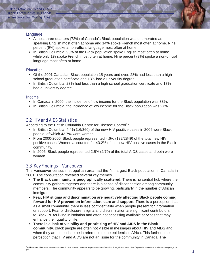#### **Language**

- Almost three-quarters (72%) of Canada's Black population was enumerated as speaking English most often at home and 14% spoke French most often at home. Nine percent (9%) spoke a non-official language most often at home.
- In British Columbia, 90% of the Black population spoke English most often at home while only 1% spoke French most often at home. Nine percent (9%) spoke a non-official language most often at home.

#### **Education**

- Of the 2001 Canadian Black population 15 years and over, 28% had less than a high school graduation certificate and 13% had a university degree.
- In British Columbia, 23% had less than a high school graduation certificate and 17% had a university degree.

#### Income

- In Canada in 2000, the incidence of low income for the Black population was 33%.
- In British Columbia, the incidence of low income for the Black population was 27%.

#### 3.2 HIV and AIDS Statistics

According to the British Columbia Centre for Disease Control<sup>8</sup>:

- In British Columbia, 4.4% (16/360) of the new HIV positive cases in 2006 were Black people, of which 43.7% were women.
- From 2000-2006, Black people represented 4.6% (132/2849) of the total new HIV positive cases. Women accounted for 43.2% of the new HIV positive cases in the Black community.
- In 2006, Black people represented 2.5% (2/79) of the total AIDS cases and both were women.

#### 3.3 Key Findings – Vancouver

The Vancouver census metropolitan area had the 4th largest Black population in Canada in 2001. The consultation revealed several key themes.

- **The Black community is geographically scattered.** There is no central hub where the community gathers together and there is a sense of disconnection among community members. The community appears to be growing, particularly in the number of African immigrants.
- **Fear, HIV stigma and discrimination are negatively affecting Black people coming forward for HIV prevention information, care and support.** There is a perception that as a small community, there is less confidentiality when people present for information or support. Fear of disclosure, stigma and discrimination are significant contributors to Black PHAs living in isolation and often not accessing available services that may enhance their quality of life.
- **There is a lack of visibility and prioritizing of HIV and AIDS in the Black community.** Black people are often not visible in messages about HIV and AIDS and when they are, it tends to be in reference to the epidemic in Africa. This furthers the perception that HIV and AIDS are not an issue for the community in Canada. The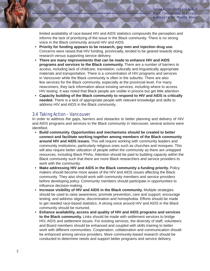limited availability of race-based HIV and AIDS statistics compounds the perception and informs the lack of prioritizing of the issue in the Black community. There is no strong voice in the Black community around HIV and AIDS.

- **Priority for funding appears to be research, gay men and injection drug use.** Concerns were raised that HIV funding, provincially, tended to be geared towards doing research versus supporting service delivery.
- **There are many improvements that can be made to enhance HIV and AIDS programs and services to the Black community.** There are a number of barriers to access, including lack of childcare, translation, culturally and linguistically appropriate materials and transportation. There is a concentration of HIV programs and services in Vancouver while the Black community is often in the suburbs. There are also few services for the Black community, especially at the provincial level. For many newcomers, they lack information about existing services, including where to access HIV testing. It was noted that Black people are visible in prisons but get little attention.
- **Capacity building of the Black community to respond to HIV and AIDS is critically needed.** There is a lack of appropriate people with relevant knowledge and skills to address HIV and AIDS in the Black community.

#### 3.4 Taking Action – Vancouver

In order to address the gaps, barriers and obstacles to better planning and delivery of HIV and AIDS programs and services to the Black community in Vancouver, several actions were identified.

- **Build community. Opportunities and mechanisms should be created to better connect and facilitate working together among members of the Black community around HIV and AIDS issues.** This will require working with community leaders and community institutions, particularly religious ones such as churches and mosques. This will also require better utilization of people within the community as there are untapped resources, including Black PHAs. Attention should be paid to building capacity within the Black community such that there are more Black researchers and service providers to work with the community.
- **Make addressing HIV and AIDS in the Black community a funding priority.** Policy makers should become more aware of the HIV and AIDS issues affecting the Black community. They also should work with community members and service providers before developing policy. Community members should participate in opportunities to influence decision-making.
- **Increase visibility of HIV and AIDS in the Black community.** Multiple strategies should be used to raise awareness; promote prevention, care and support; encourage testing; and address stigma, discrimination and homophobia. Efforts should be made to get needed race-based statistics. A strong voice around HIV and AIDS in the Black community should be nurtured.
- **Enhance availability, access and quality of HIV and AIDS programs and services to the Black community.** Links should be made with settlement services to bridge HIV, AIDS and settlement issues. For existing services, the diversity of staff, volunteers and Board members should be enhanced and coupled with skills training to better work with different communities. Cooperation, collaboration and communication should be enhanced among service providers. More community-based research should be conducted to determine needs and support better programs and service delivery.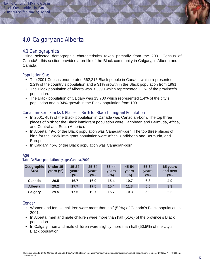## 4.0 Calgary and Alberta

## 4.1 Demographics

Using selected demographic characteristics taken primarily from the 2001 Census of Canada9 , this section provides a profile of the Black community in Calgary, in Alberta and in Canada.

#### Population Size

- The 2001 Census enumerated 662,215 Black people in Canada which represented 2.2% of the country's population and a 31% growth in the Black population from 1991.
- The Black population of Alberta was 31,390 which represented 1.1% of the province's population.
- The Black population of Calgary was 13,700 which represented 1.4% of the city's population and a 34% growth in the Black population from 1991.

#### Canadian-Born Blacks & Places of Birth for Black Immigrant Population

- In 2001, 45% of the Black population in Canada was Canadian-born. The top three places of birth for the Black immigrant population were Caribbean and Bermuda, Africa, and Central and South America.
- In Alberta, 49% of the Black population was Canadian-born. The top three places of birth for the Black immigrant population were Africa, Caribbean and Bermuda, and Europe.
- In Calgary, 45% of the Black population was Canadian-born.

| Table 3: Black population by age, Canada, 2001 |                          |                           |                       |                           |                       |                       |                   |
|------------------------------------------------|--------------------------|---------------------------|-----------------------|---------------------------|-----------------------|-----------------------|-------------------|
| Geographic<br>Area                             | Under 15<br>years $(\%)$ | $15 - 24$<br><b>vears</b> | 25-34<br><b>vears</b> | $35 - 44$<br><b>vears</b> | 45-54<br><b>vears</b> | 55-64<br><b>vears</b> | $65$ yea<br>and o |
|                                                |                          | $(\% )$                   | (%)                   | (%)                       | (%)                   | (%)                   | (%)               |
| Canada                                         | 29.5                     | 16.7                      | 16.0                  | 15.4                      | 10.7                  | 6.8                   | 4.9               |

#### Age

#### Gender

- Women and female children were more than half (52%) of Canada's Black population in 2001.
- In Alberta, men and male children were more than half (51%) of the province's Black population.

**Alberta 29.2 17.7 17.5 15.4 11.3 5.5 3.3 Calgary 29.5 17.5 19.7 15.7 10.3 5.2 2.2**

• In Calgary, men and male children were slightly more than half (50.5%) of the city's Black population.

**65 years and over (%)**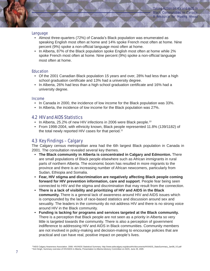#### Language

- Almost three-quarters (72%) of Canada's Black population was enumerated as speaking English most often at home and 14% spoke French most often at home. Nine percent (9%) spoke a non-official language most often at home.
- In Alberta, 87% of the Black population spoke English most often at home while 2% spoke French most often at home. Nine percent (9%) spoke a non-official language most often at home.

#### **Education**

- Of the 2001 Canadian Black population 15 years and over, 28% had less than a high school graduation certificate and 13% had a university degree.
- In Alberta, 26% had less than a high school graduation certificate and 16% had a university degree.

#### Income

- In Canada in 2000, the incidence of low income for the Black population was 33%.
- In Alberta, the incidence of low income for the Black population was 27%.

#### 4.2 HIV and AIDS Statistics

- In Alberta, 25.2% of new HIV infections in 2006 were Black people.<sup>10</sup>
- From 1998-2004, with ethnicity known, Black people represented 11.8% (139/1182) of the total newly reported HIV cases for that period.<sup>11</sup>

#### 4.3 Key Findings – Calgary

The Calgary census metropolitan area had the 6th largest Black population in Canada in 2001. The consultation revealed several key themes.

- **The Black community in Alberta is concentrated in Calgary and Edmonton.** There are small populations of Black people elsewhere such as African immigrants in rural parts of northern Alberta. The economic boom has resulted in more migrants to the province and there is an increasing number of African newcomers, particularly from Sudan, Ethiopia and Somalia.
- **Fear, HIV stigma and discrimination are negatively affecting Black people coming forward for HIV prevention information, care and support**. People fear being seen connected to HIV and the stigma and discrimination that may result from the connection.
- **There is a lack of visibility and prioritizing of HIV and AIDS in the Black community.** There is a general lack of awareness around HIV and AIDS issues which is compounded by the lack of race-based statistics and discussion around sex and sexuality. The leaders in the community do not address HIV and there is no strong voice around HIV in the Black community.
- **Funding is lacking for programs and services targeted at the Black community.** There is a perception that Black people are not seen as a priority in Alberta so very little is targeted towards the community. There is also a perception of government indifference to addressing HIV and AIDS in Black communities. Community members are not involved in policy-making and decision-making to encourage policies that are practical and can have real, positive impact on people's lives.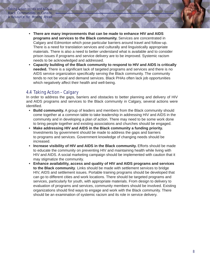- **There are many improvements that can be made to enhance HIV and AIDS programs and services to the Black community.** Services are concentrated in Calgary and Edmonton which pose particular barriers around travel and follow-up. There is a need for translation services and culturally and linguistically appropriate materials. There is also a need to better understand what is available and to consider prison issues if programs and service delivery are to be improved. Systemic racism needs to be acknowledged and addressed.
- **Capacity building of the Black community to respond to HIV and AIDS is critically needed.** There is a significant lack of targeted programs and services and there is no AIDS service organization specifically serving the Black community. The community tends to not be vocal and demand services. Black PHAs often lack job opportunities which negatively affect their health and well-being.

#### 4.4 Taking Action – Calgary

In order to address the gaps, barriers and obstacles to better planning and delivery of HIV and AIDS programs and services to the Black community in Calgary, several actions were identified.

- **Build community.** A group of leaders and members from the Black community should come together at a common table to take leadership in addressing HIV and AIDS in the community and in developing a plan of action. There may need to be some work done to bring people together and existing associations and churches should be engaged.
- **Make addressing HIV and AIDS in the Black community a funding priority.** Investments by government should be made to address the gaps and barriers to programs and services. Government knowledge of changing needs should be increased.
- **Increase visibility of HIV and AIDS in the Black community.** Efforts should be made to educate the community on preventing HIV and maintaining health while living with HIV and AIDS. A social marketing campaign should be implemented with caution that it may stigmatize the community.
- **Enhance availability, access and quality of HIV and AIDS programs and services to the Black community**. Links should be made with settlement services to bridge HIV, AIDS and settlement issues. Portable training programs should be developed that can go to different cities and work locations. There should be targeted programs and services, particularly for youth, with appropriate materials. From design to delivery to evaluation of programs and services, community members should be involved. Existing organizations should find ways to engage and work with the Black community. There should be an examination of systemic racism and its role in service delivery.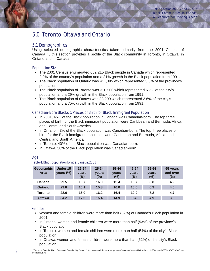## 5.0 Toronto, Ottawa and Ontario

#### 5.1 Demographics

Using selected demographic characteristics taken primarily from the 2001 Census of Canada<sup>12</sup>, this section provides a profile of the Black community in Toronto, in Ottawa, in Ontario and in Canada.

#### Population Size

- The 2001 Census enumerated 662,215 Black people in Canada which represented 2.2% of the country's population and a 31% growth in the Black population from 1991.
- The Black population of Ontario was 411,095 which represented 3.6% of the province's population.
- The Black population of Toronto was 310,500 which represented 6.7% of the city's population and a 29% growth in the Black population from 1991.
- The Black population of Ottawa was 38,200 which represented 3.6% of the city's population and a 75% growth in the Black population from 1991.

#### Canadian-Born Blacks & Places of Birth for Black Immigrant Population

- In 2001, 45% of the Black population in Canada was Canadian-born. The top three places of birth for the Black immigrant population were Caribbean and Bermuda, Africa, and Central and South America.
- In Ontario, 43% of the Black population was Canadian-born. The top three places of birth for the Black immigrant population were Caribbean and Bermuda, Africa, and Central and South America.
- In Toronto, 40% of the Black population was Canadian-born.
- In Ottawa, 38% of the Black population was Canadian-born.

#### Age

#### Table 4: Black population by age, Canada, 2001

| Geographic<br>Area | Under 15<br>years (%) | $15 - 24$<br><b>vears</b><br>$(\%)$ | $25 - 34$<br><b>vears</b><br>(%) | $35 - 44$<br><b>vears</b><br>(%) | 45-54<br><b>vears</b><br>(%) | 55-64<br><b>vears</b><br>(%) | 65 years<br>and over<br>$(\%)$ |
|--------------------|-----------------------|-------------------------------------|----------------------------------|----------------------------------|------------------------------|------------------------------|--------------------------------|
| Canada             | 29.5                  | 16.7                                | 16.0                             | 15.4                             | 10.7                         | 6.8                          | 4.9                            |
| <b>Ontario</b>     | 29.8                  | 16.1                                | 15.8                             | 16.0                             | 10.6                         | 6.9                          | 4.6                            |
| <b>Toronto</b>     | 28.6                  | 16.0                                | 16.2                             | 16.4                             | 10.9                         | 7.2                          | 4.7                            |
| <b>Ottawa</b>      | 34.2                  | 17.6                                | 15.4                             | 14.9                             | 9.4                          | 4.9                          | 3.6                            |

#### Gender

- Women and female children were more than half (52%) of Canada's Black population in 2001.
- In Ontario, women and female children were more than half (53%) of the province's Black population.
- In Toronto, women and female children were more than half (54%) of the city's Black population.
- In Ottawa, women and female children were more than half (52%) of the city's Black population.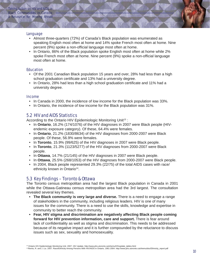#### Language

- Almost three-quarters (72%) of Canada's Black population was enumerated as speaking English most often at home and 14% spoke French most often at home. Nine percent (9%) spoke a non-official language most often at home.
- In Ontario, 86% of the Black population spoke English most often at home while 2% spoke French most often at home. Nine percent (9%) spoke a non-official language most often at home.

#### Education

- Of the 2001 Canadian Black population 15 years and over, 28% had less than a high school graduation certificate and 13% had a university degree.
- In Ontario, 28% had less than a high school graduation certificate and 11% had a university degree.

#### Income

- In Canada in 2000, the incidence of low income for the Black population was 33%.
- In Ontario, the incidence of low income for the Black population was 31%.

#### 5.2 HIV and AIDS Statistics

According to the Ontario HIV Epidemiologic Monitoring Unit<sup>13</sup>:

- In **Ontario**, 16.2% (174/1076) of the HIV diagnoses in 2007 were Black people (HIVendemic exposure category). Of these, 64.4% were females.
- In **Ontario**, 21.2% (1830/8634) of the HIV diagnoses from 2000-2007 were Black people. Of these, 56.9% were females.
- In **Toronto**, 15.9% (99/625) of the HIV diagnoses in 2007 were Black people.
- In **Toronto**, 21.3% (1123/5277) of the HIV diagnoses from 2000-2007 were Black people.
- In **Ottawa**, 14.7% (21/145) of the HIV diagnoses in 2007 were Black people.
- In **Ottawa**, 25.5% (268/1053) of the HIV diagnoses from 2000-2007 were Black people.
- In 2004, Black people represented 29.3% (22/75) of the total AIDS cases with race/ ethnicity known in Ontario<sup>14</sup>.

#### 5.3 Key Findings – Toronto & Ottawa

The Toronto census metropolitan area had the largest Black population in Canada in 2001 while the Ottawa-Gatineau census metropolitan area had the 3rd largest. The consultation revealed several key themes.

- **The Black community is very large and diverse.** There is a need to engage a range of stakeholders in the community, including religious leaders. HIV is one of many issues for the community. There is a need to use the skills, knowledge and expertise in community to better reach the community.
- **Fear, HIV stigma and discrimination are negatively affecting Black people coming forward for HIV prevention information, care and support.** There is fear around lack of confidentiality as well as stigma and discrimination. This needs to be addressed because of its negative impact and it is further compounded by the reluctance to discuss issues such as sex, sexuality and homosexuality.

14 Remis, R. and J. Liu. 2007. Race/Ethnicity Among Persons With HIV/AIDS in Ontario, 1981-2004. http://www.phs.utoronto.ca/ohemu/doc/Ethnicity\_report.pdf

<sup>&</sup>lt;sup>13</sup> Ontario HIV Epidemiologic Monitoring Unit. 2007. HIV Update. http://www.phs.utoronto.ca/ohemu/HIVupdate\_tables.html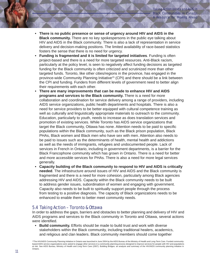- **There is no public presence or sense of urgency around HIV and AIDS in the Black community.** There are no key spokespersons in the public eye talking about HIV and AIDS in the Black community. There is also a lack of representation in service delivery and decision-making positions. The limited availability of race-based statistics fosters the sense that there is no need for urgency.
- **Funding is fragmented and it is limited for targeted initiatives**. Funding is often project-based and there is a need for more targeted resources. Anti-Black racism, particularly at the policy level, is seen to negatively affect funding decisions as targeted funding for the Black community is often criticized and scrutinized more than other targeted funds. Toronto, like other cities/regions in the province, has engaged in the province-wide Community Planning Initiative15 (CPI) and there should be a link between the CPI and funding. Funders from different levels of government need to better align their requirements with each other.
- **There are many improvements that can be made to enhance HIV and AIDS programs and services to the Black community.** There is a need for more collaboration and coordination for service delivery among a range of providers, including AIDS service organizations, public health departments and hospitals. There is also a need for service providers to be better equipped with cultural competence training as well as culturally and linguistically appropriate materials to outreach to the community. Education, particularly to youth, needs to increase as does translation services and promotion of existing services. While Toronto has AIDS service organizations that target the Black community, Ottawa has none. Attention needs to be paid to specific populations within the Black community, such as the Black prison population, Black PHAs, Black women and Black men who have sex with men. Attention also needs to be paid to issues such as the determinants of health, mental health and addictions as well as the needs of immigrants, refugees and undocumented people. Lack of services in French in Ontario, including in government departments, is a barrier for the Black Francophone community which has grown in Ontario. There is a need for better and more accessible services for PHAs. There is also a need for more legal services generally.
- **Capacity building of the Black community to respond to HIV and AIDS is critically needed**. The infrastructure around issues of HIV and AIDS and the Black community is fragmented and there is a need for more cohesion, particularly among Black agencies addressing HIV and AIDS. Capacity within the Black community needs to be built to address gender issues, subordination of women and engaging with government. Capacity also needs to be built to spiritually support people through the process from testing to a positive diagnosis. The capacity of Black organizations needs to be enhanced to enable them to better meet community needs.

#### 5.4 Taking Action – Toronto & Ottawa

In order to address the gaps, barriers and obstacles to better planning and delivery of HIV and AIDS programs and services to the Black community in Toronto and Ottawa, several actions were identified.

**• Build community.** Efforts should be made to build trust and work with diverse stakeholders within the Black community, including traditional healers, academics, and religious and clan leaders. Black community members should come together

<sup>&</sup>lt;sup>15</sup>The HIV/AIDS Community Planning Initiative in Ontario was launched in June 2004 by the AIDS Bureau of the Ministry of Health and Long-Term Care. Funded communitybased AIDS service organizations were asked to engage other services in a community planning process designed to improve services for people with HIV and populations at risk. See AIDS Bureau, Ministry of Health and Long-Term Care (2007). Building Bridges: an analysis and summary of the HIV/AIDS community planning initiative in Ontario.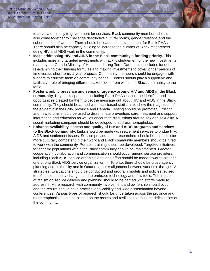to advocate directly to government for services. Black community members should also come together to challenge destructive cultural norms, gender relations and the subordination of women. There should be leadership development for Black PHAs. There should also be capacity building to increase the number of Black researchers doing HIV and AIDS work in the community.

- **Make addressing HIV and AIDS in the Black community a funding priority.** This includes more and targeted investments with acknowledgement of the new investments made by the Ontario Ministry of Health and Long-Term Care. It also includes funders re-examining their funding formulas and making investments to cover longer periods of time versus short-term, 1-year projects. Community members should be engaged with funders to educate them on community needs. Funders should play a supportive and facilitative role of bringing different stakeholders from within the Black community to the table.
- **Foster a public presence and sense of urgency around HIV and AIDS in the Black community**. Key spokespersons, including Black PHAs, should be identified and opportunities created for them to get the message out about HIV and AIDS in the Black community. They should be armed with race-based statistics to show the magnitude of the epidemic in their city, province and Canada. Testing should be promoted. Existing and new forums should be used to disseminate prevention, care, treatment and support information and education as well as encourage discussions around sex and sexuality. A social marketing campaign should be developed to address homophobia.
- **Enhance availability, access and quality of HIV and AIDS programs and services to the Black community**. Links should be made with settlement services to bridge HIV, AIDS and settlement issues. Service providers and researchers should be trained to be more culturally competent in their work and Black community members should be hired to work with the community. Portable training should be developed. Targeted initiatives for specific populations within the Black community should be implemented. Greater cooperation, collaboration and communication should occur among service providers, including Black AIDS service organizations, and effort should be made towards creating one strong Black AIDS service organization. In Toronto, there should be cross-agency planning across the city and in Ontario, greater alignment between various existing HIV strategies. Evaluations should be conducted and program models and policies revised to reflect community changes and to embrace technology and new tools. The impact of racism on service delivery and planning should to be named with efforts made to address it. More research with community involvement and ownership should occur and the results should have practical applicability and wide dissemination beyond conferences. Various types of research should be undertaken across the province and more emphasis should be placed on the assets and resilience versus the deficiencies of the community.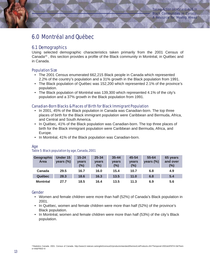## 6.0 Montréal and Québec

#### 6.1 Demographics

Using selected demographic characteristics taken primarily from the 2001 Census of Canada16 , this section provides a profile of the Black community in Montréal, in Québec and in Canada.

#### Population Size

- The 2001 Census enumerated 662,215 Black people in Canada which represented 2.2% of the country's population and a 31% growth in the Black population from 1991.
- The Black population of Québec was 152,200 which represented 2.1% of the province's population.
- The Black population of Montréal was 139,300 which represented 4.1% of the city's population and a 37% growth in the Black population from 1991.

#### Canadian-Born Blacks & Places of Birth for Black Immigrant Population

- In 2001, 45% of the Black population in Canada was Canadian-born. The top three places of birth for the Black immigrant population were Caribbean and Bermuda, Africa, and Central and South America.
- In Québec, 41% of the Black population was Canadian-born. The top three places of birth for the Black immigrant population were Caribbean and Bermuda, Africa, and Europe.
- In Montréal, 41% of the Black population was Canadian-born.

| Geographic<br>Area | <b>Under 15</b><br>years (%) | $15 - 24$<br><b>vears</b><br>$(\%)$ | $25 - 34$<br><b>vears</b><br>$(\%)$ | $35 - 44$<br><b>vears</b><br>$(\%)$ | 45-54<br><b>vears</b><br>(%) | 55-64<br>years $(\%)$ | 65 years<br>and over<br>(%) |
|--------------------|------------------------------|-------------------------------------|-------------------------------------|-------------------------------------|------------------------------|-----------------------|-----------------------------|
| Canada             | 29.5                         | 16.7                                | 16.0                                | 15.4                                | 10.7                         | 6.8                   | 4.9                         |
| Québec             | 28.3                         | 18.6                                | 16.3                                | 13.5                                | 11.0                         | 6.8                   | 5.4                         |
| <b>Montréal</b>    | 27.7                         | 18.5                                | 16.4                                | 13.5                                | 11.3                         | 6.9                   | 5.6                         |

#### Age Table 5: Black population by age, Canada, 2001

## Gender

- Women and female children were more than half (52%) of Canada's Black population in 2001.
- In Québec, women and female children were more than half (52%) of the province's Black population.
- In Montréal, women and female children were more than half (53%) of the city's Black population.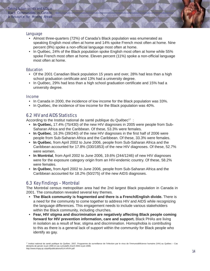#### Language

- Almost three-quarters (72%) of Canada's Black population was enumerated as speaking English most often at home and 14% spoke French most often at home. Nine percent (9%) spoke a non-official language most often at home.
- In Québec, 24% of the Black population spoke English most often at home while 55% spoke French most often at home. Eleven percent (11%) spoke a non-official language most often at home.

#### Education

- Of the 2001 Canadian Black population 15 years and over, 28% had less than a high school graduation certificate and 13% had a university degree.
- In Québec, 29% had less than a high school graduation certificate and 15% had a university degree.

#### Income

- In Canada in 2000, the incidence of low income for the Black population was 33%.
- In Québec, the incidence of low income for the Black population was 40%.

#### 6.2 HIV and AIDS Statistics

According to the Institut national de santé publique du Québec<sup>17</sup> :

- **In Québec,** 17.4% (75/430) of the new HIV diagnoses in 2005 were people from Sub-Saharan Africa and the Caribbean. Of these, 53.3% were females.
- **In Québec**, 16.3% (39/240) of the new HIV diagnoses in the first half of 2006 were people from Sub-Saharan Africa and the Caribbean. Of these, 33.3% were females.
- **In Québec**, from April 2002 to June 2006, people from Sub-Saharan Africa and the Caribbean accounted for 17.8% (330/1853) of the new HIV diagnoses. Of these, 52.7% were women.
- **In Montréal**, from April 2002 to June 2006, 19.6% (244/1246) of new HIV diagnoses were for the exposure category origin from an HIV-endemic country. Of these, 58.2% were females.
- **In Québec,** from April 2002 to June 2006, people from Sub-Saharan Africa and the Caribbean accounted for 18.2% (50/275) of the new AIDS diagnoses.

#### 6.3 Key Findings – Montréal

The Montréal census metropolitan area had the 2nd largest Black population in Canada in 2001. The consultation revealed several key themes.

- **The Black community is fragmented and there is a French/English divide.** There is a need for the community to come together to address HIV and AIDS while recognizing the language differences. This engagement needs to include various stakeholders within the Black community, including churches.
- **Fear, HIV stigma and discrimination are negatively affecting Black people coming forward for HIV prevention information, care and support.** Black PHAs are living in isolation as a result of fear, stigma and discrimination. Homophobia is contributing to this as there is a general lack of support within the community for Black people who identify as gay.

<sup>&</sup>lt;sup>17</sup> Institut national de santé publique du Québec. 2007. Programme de surveillance de l'infection par le virus de l'immunodéficience humaine (VIH) au Québec - Cas déclarés de janvier à juin 2006 et cas cumulatifs d'avril 2002 à juin 2006. http://www.inspq.qc.ca/pdf/publications/614-InfVIH.pdf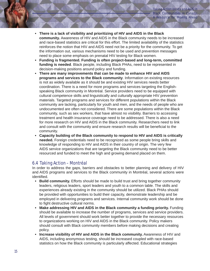- **There is a lack of visibility and prioritizing of HIV and AIDS in the Black community.** Awareness of HIV and AIDS in the Black community needs to be increased and race-based statistics are critical for this effort. The limited availability of the statistics reinforces the notion that HIV and AIDS need not be a priority for the community. To get the information out, various mechanisms need to be used and prevention messages need to place some emphasis on prenatal HIV testing for Black women.
- **Funding is fragmented. Funding is often project-based and long-term, committed funding is needed**. Black people, including Black PHAs, need to be represented in decision-making positions around policy and funding.
- **There are many improvements that can be made to enhance HIV and AIDS programs and services to the Black community**. Information on existing resources is not as widely available as it should be and existing HIV services needs better coordination. There is a need for more programs and services targeting the Englishspeaking Black community in Montréal. Service providers need to be equipped with cultural competence skills and linguistically and culturally appropriate HIV prevention materials. Targeted programs and services for different populations within the Black community are lacking, particularly for youth and men, and the needs of people who are undocumented are often not considered. There are some populations within the Black community, such as sex workers, that have almost no visibility. Barriers to accessing treatment and health insurance coverage need to be addressed. There is also a need for more research on HIV and AIDS in the Black community. Researchers need to link and consult with the community and ensure research results will be beneficial to the community.
- **Capacity building of the Black community to respond to HIV and AIDS is critically needed.** Foreign credentials need to be recognized as some people bring skills and knowledge of responding to HIV and AIDS in their country of origin. The very few AIDS service organizations that are targeting the Black community need to be better resourced and funded to meet the high and growing demand placed on them.

#### 6.4 Taking Action – Montréal

In order to address the gaps, barriers and obstacles to better planning and delivery of HIV and AIDS programs and services to the Black community in Montréal, several actions were identified.

- **Build community.** Efforts should be made to build trust and bring together community leaders, religious leaders, sport leaders and youth to a common table. The skills and experiences already existing in the community should be utilized. Black PHAs should be provided with opportunities to build their capacity, demonstrate leadership and be employed in delivering programs and services. Internal community work should be done to fight destructive cultural norms.
- **Make addressing HIV and AIDS in the Black community a funding priority.** Funding should be available to increase the number of programs, services and service providers. All levels of government should work better together to provide the necessary resources to organizations working on HIV and AIDS in the Black community. Policy makers should consult with Black community members before making decisions and creating policy.
- **Increase visibility of HIV and AIDS in the Black community.** Awareness of HIV and AIDS, including anonymous testing, should be increased coupled with race-based statistics on how the Black community is particularly affected. Educational strategies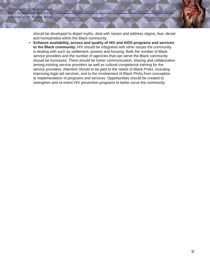should be developed to dispel myths, deal with racism and address stigma, fear, denial and homophobia within the Black community.

**• Enhance availability, access and quality of HIV and AIDS programs and services to the Black community.** HIV should be integrated with other issues the community is dealing with such as settlement, poverty and housing. Both the number of Black service providers and the number of agencies that can serve the Black community should be increased. There should be better communication, sharing and collaboration among existing service providers as well as cultural competence training for the service providers. Attention should to be paid to the needs of Black PHAs, including improving legal aid services, and to the involvement of Black PHAs from conception to implementation of programs and services. Opportunities should be created to strengthen and re-orient HIV prevention programs to better serve the community.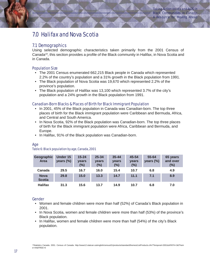## 7.0 Halifax and Nova Scotia

#### 7.1 Demographics

Using selected demographic characteristics taken primarily from the 2001 Census of Canada<sup>18</sup>, this section provides a profile of the Black community in Halifax, in Nova Scotia and in Canada.

#### Population Size

- The 2001 Census enumerated 662,215 Black people in Canada which represented 2.2% of the country's population and a 31% growth in the Black population from 1991.
- The Black population of Nova Scotia was 19,670 which represented 2.2% of the province's population.
- The Black population of Halifax was 13,100 which represented 3.7% of the city's population and a 24% growth in the Black population from 1991.

#### Canadian-Born Blacks & Places of Birth for Black Immigrant Population

- In 2001, 45% of the Black population in Canada was Canadian-born. The top three places of birth for the Black immigrant population were Caribbean and Bermuda, Africa, and Central and South America.
- In Nova Scotia, 92% of the Black population was Canadian-born. The top three places of birth for the Black immigrant population were Africa, Caribbean and Bermuda, and Europe.
- In Halifax, 91% of the Black population was Canadian-born.

Table 6: Black population by age, Canada, 2001

| Geographic<br>Area           | <b>Under 15</b><br>years (%) | $15 - 24$<br><b>vears</b><br>$(\%)$ | $25 - 34$<br><b>vears</b><br>(%) | $35 - 44$<br>years<br>$(\%)$ | 45-54<br><b>vears</b><br>(%) | 55-64<br>years (%) | 65 years<br>and over<br>$(\%)$ |
|------------------------------|------------------------------|-------------------------------------|----------------------------------|------------------------------|------------------------------|--------------------|--------------------------------|
| Canada                       | 29.5                         | 16.7                                | 16.0                             | 15.4                         | 10.7                         | 6.8                | 4.9                            |
| <b>Nova</b><br><b>Scotia</b> | 29.8                         | 15.0                                | 13.3                             | 14.7                         | 11.1                         | 7.1                | 8.9                            |
| <b>Halifax</b>               | 31.3                         | 15.6                                | 13.7                             | 14.9                         | 10.7                         | 6.8                | 7.0                            |

#### Age

#### Gender

- Women and female children were more than half (52%) of Canada's Black population in 2001.
- In Nova Scotia, women and female children were more than half (53%) of the province's Black population.
- In Halifax, women and female children were more than half (54%) of the city's Black population.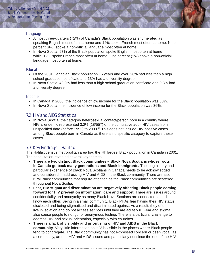#### Language

- Almost three-quarters (72%) of Canada's Black population was enumerated as speaking English most often at home and 14% spoke French most often at home. Nine percent (9%) spoke a non-official language most often at home.
- In Nova Scotia, 97% of the Black population spoke English most often at home while 0.7% spoke French most often at home. One percent (1%) spoke a non-official language most often at home.

#### Education

- Of the 2001 Canadian Black population 15 years and over, 28% had less than a high school graduation certificate and 13% had a university degree.
- In Nova Scotia, 43.9% had less than a high school graduation certificate and 9.3% had a university degree.

#### Income

- In Canada in 2000, the incidence of low income for the Black population was 33%.
- In Nova Scotia, the incidence of low income for the Black population was 36%.

#### 7.2 HIV and AIDS Statistics

• In **Nova Scotia**, the category heterosexual contact/person born in a country where HIV is endemic represented 3.2% (18/557) of the cumulative adult HIV cases from unspecified date (before 1992) to 2000.19 This does not include HIV positive cases among Black people born in Canada as there is no specific category to capture these cases.

#### 7.3 Key Findings – Halifax

The Halifax census metropolitan area had the 7th largest Black population in Canada in 2001. The consultation revealed several key themes.

- **There are two distinct Black communities Black Nova Scotians whose roots in Canada go back many generations and Black immigrants.** The long history and particular experience of Black Nova Scotians in Canada needs to be acknowledged and considered in addressing HIV and AIDS in the Black community. There are also rural Black communities that require attention as the Black communities are scattered throughout Nova Scotia.
- **Fear, HIV stigma and discrimination are negatively affecting Black people coming forward for HIV prevention information, care and support.** There are issues around confidentiality and anonymity as many Black Nova Scotians are connected to and know each other. Being in a small community, Black PHAs fear having their HIV status disclosed and being stigmatized and discriminated against. As a result, they often live in isolation and do not access services until they are acutely ill. Fear and stigma also cause people to not go for anonymous testing. There is a particular challenge to address HIV and sexual orientation, especially with churches.
- **There is a lack of visibility and prioritizing of HIV and AIDS in the Black community**. Very little information on HIV is visible in the places where Black people tend to congregate. The Black community has not expressed concern or been vocal, as a community, around HIV and AIDS issues and particularly not since the end of the HIV-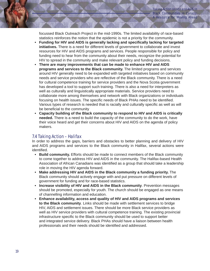focussed Black Outreach Project in the mid-1990s. The limited availability of race-based statistics reinforces the notion that the epidemic is not a priority for the community.

- **Funding for HIV and AIDS is generally lacking and specifically lacking for targeted initiatives.** There is a need for different levels of government to collaborate and invest resources for HIV and AIDS programs and services. People responsible for policy and funding need to hear from the community about their needs, recognize the potential for HIV to spread in the community and make relevant policy and funding decisions.
- **There are many improvements that can be made to enhance HIV and AIDS programs and services to the Black community.** The limited programs and services around HIV generally need to be expanded with targeted initiatives based on community needs and service providers who are reflective of the Black community. There is a need for cultural competence training for service providers and the Nova Scotia government has developed a tool to support such training. There is also a need for interpreters as well as culturally and linguistically appropriate materials. Service providers need to collaborate more among themselves and network with Black organizations or individuals focusing on health issues. The specific needs of Black PHAs need to be identified. Various types of research is needed that is racially and culturally specific as well as will be beneficial to the community
- **Capacity building of the Black community to respond to HIV and AIDS is critically needed.** There is a need to build the capacity of the community to do the work, have their voice heard and get their concerns about HIV and AIDS on the agenda of policy makers.

#### 7.4 Taking Action – Halifax

In order to address the gaps, barriers and obstacles to better planning and delivery of HIV and AIDS programs and services to the Black community in Halifax, several actions were identified.

- **Build community.** Efforts should be made to connect members of the Black community to come together to address HIV and AIDS in the community. The Halifax-based Health Association of African Canadians was identified as a group that should take a leadership role in moving the HIV agenda forward.
- **Make addressing HIV and AIDS in the Black community a funding priority.** The Black community should actively engage with and put pressure on different levels of government for funding and for race-based statistics.
- **Increase visibility of HIV and AIDS in the Black community**. Prevention messages should be promoted, especially for youth. The church should be engaged as one means of channelling information and education.
- **Enhance availability, access and quality of HIV and AIDS programs and services to the Black community**. Links should be made with settlement services to bridge HIV, AIDS and settlement issues. There should be more Black service providers as well as HIV service providers with cultural competence training. The existing provincial infrastructure specific to the Black community should be used to support better and integrated service delivery. Black PHAs should have a liaison between health professionals and their needs should be identified and addressed.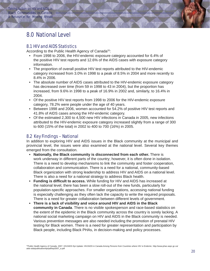## 8.0 National Level

### 8.1 HIV and AIDS Statistics

According to the Public Health Agency of Canada<sup>20</sup>:

- From 1998 to 2006, the HIV-endemic exposure category accounted for 6.4% of the positive HIV test reports and 12.6% of the AIDS cases with exposure category information.
- The proportion of overall positive HIV test reports attributed to the HIV-endemic category increased from 3.0% in 1998 to a peak of 8.5% in 2004 and more recently to 8.4% in 2006.
- The absolute number of AIDS cases attributed to the HIV-endemic exposure category has decreased over time (from 59 in 1998 to 43 in 2004), but the proportion has increased, from 9.6% in 1998 to a peak of 16.9% in 2002 and, similarly, to 16.4% in 2004.
- Of the positive HIV test reports from 1998 to 2006 for the HIV-endemic exposure category, 78.2% were people under the age of 40 years.
- Between 1998 and 2006, women accounted for 54.2% of positive HIV test reports and 41.8% of AIDS cases among the HIV-endemic category.
- Of the estimated 2,300 to 4,500 new HIV infections in Canada in 2005, new infections attributed to the HIV-endemic exposure category increased slightly from a range of 300 to 600 (15% of the total) in 2002 to 400 to 700 (16%) in 2005.

#### 8.2 Key Findings – National

In addition to exploring HIV and AIDS issues in the Black community at the municipal and provincial level, the issues were also examined at the national level. Several key themes emerged from the consultation.

- **Nationally, the Black community is disconnected from each other.** There is work underway in different parts of the country; however, it is often done in isolation. There is a need to develop mechanisms to link the community and foster cooperation, collaboration and communication. There is a need for a national, community-based Black organization with strong leadership to address HIV and AIDS on a national level. There is also a need for a national strategy to address Black health.
- **Funding is difficult to access.** While funding for HIV and AIDS has increased at the national level, there has been a slow roll-out of the new funds, particularly for population-specific approaches. For smaller organizations, accessing national funding is especially challenging as they often lack the capacity to write the required proposals. There is a need for greater collaboration between different levels of government.
- **There is a lack of visibility and voice around HIV and AIDS in the Black community in Canada**. There is no visible spokesperson and race-based statistics on the extent of the epidemic in the Black community across the country is sorely lacking. A national social marketing campaign on HIV and AIDS in the Black community is needed. Various prevention messages are also needed including the promotion of prenatal HIV testing for Black women. There is a need for greater representation and participation by Black people, including Black PHAs, in decision-making and policy processes.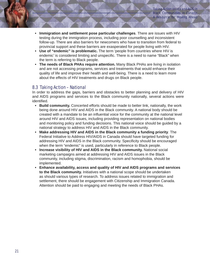- **Immigration and settlement pose particular challenges**. There are issues with HIV testing during the immigration process, including poor counselling and inconsistent follow-up. There are also barriers for newcomers who have to transition from federal to provincial support and these barriers are exasperated for people living with HIV.
- Use of "endemic" is problematic. The term 'people from countries where HIV is endemic is considered limiting and unspecific. There is a need to name "Black" when the term is referring to Black people.
- **The needs of Black PHAs require attention.** Many Black PHAs are living in isolation and are not accessing programs, services and treatments that would enhance their quality of life and improve their health and well-being. There is a need to learn more about the effects of HIV treatments and drugs on Black people.

#### 8.3 Taking Action – National

In order to address the gaps, barriers and obstacles to better planning and delivery of HIV and AIDS programs and services to the Black community nationally, several actions were identified.

- **Build community.** Concerted efforts should be made to better link, nationally, the work being done around HIV and AIDS in the Black community. A national body should be created with a mandate to be an influential voice for the community at the national level around HIV and AIDS issues, including providing representation on national bodies and monitoring policy and funding decisions. This national voice should be guided by a national strategy to address HIV and AIDS in the Black community.
- **Make addressing HIV and AIDS in the Black community a funding priority**. The Federal Initiative to Address HIV/AIDS in Canada should have targeted funding for addressing HIV and AIDS in the Black community. Specificity should be encouraged when the term "endemic" is used, particularly in reference to Black people.
- **Increase visibility of HIV and AIDS in the Black community.** National social marketing campaigns aimed at addressing HIV and AIDS issues in the Black community, including stigma, discrimination, racism and homophobia, should be implemented.
- **Enhance availability, access and quality of HIV and AIDS programs and services to the Black community.** Initiatives with a national scope should be undertaken as should various types of research. To address issues related to immigration and settlement, there should be engagement with Citizenship and Immigration Canada. Attention should be paid to engaging and meeting the needs of Black PHAs.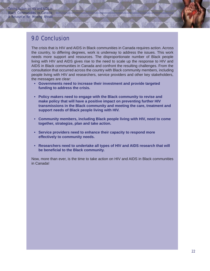## 9.0 Conclusion

The crisis that is HIV and AIDS in Black communities in Canada requires action. Across the country, to differing degrees, work is underway to address the issues. This work needs more support and resources. The disproportionate number of Black people living with HIV and AIDS gives rise to the need to scale up the response to HIV and AIDS in Black communities in Canada and confront the resulting challenges. From the consultation that occurred across the country with Black community members, including people living with HIV and researchers, service providers and other key stakeholders, the messages are clear:

- **Governments need to increase their investment and provide targeted funding to address the crisis.**
- **Policy makers need to engage with the Black community to revise and make policy that will have a positive impact on preventing further HIV transmissions in the Black community and meeting the care, treatment and support needs of Black people living with HIV.**
- **Community members, including Black people living with HIV, need to come together, strategize, plan and take action.**
- **Service providers need to enhance their capacity to respond more effectively to community needs.**
- **Researchers need to undertake all types of HIV and AIDS research that will be beneficial to the Black community.**

Now, more than ever, is the time to take action on HIV and AIDS in Black communities in Canada!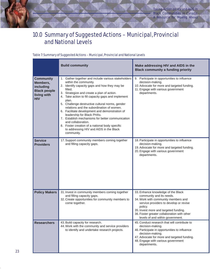## 10.0 Summary of Suggested Actions – Municipal, Provincial and National Levels

#### Table 7: Summary of Suggested Actions – Municipal, Provincial and National Levels

|                                                                                               | <b>Build community</b>                                                                                                                                                                                                                                                                                                                                                                                                                                                                                                                                                                                                     | Make addressing HIV and AIDS in the<br><b>Black community a funding priority</b>                                                                                                                                                                                                       |
|-----------------------------------------------------------------------------------------------|----------------------------------------------------------------------------------------------------------------------------------------------------------------------------------------------------------------------------------------------------------------------------------------------------------------------------------------------------------------------------------------------------------------------------------------------------------------------------------------------------------------------------------------------------------------------------------------------------------------------------|----------------------------------------------------------------------------------------------------------------------------------------------------------------------------------------------------------------------------------------------------------------------------------------|
| <b>Community</b><br>Members,<br>including<br><b>Black people</b><br>living with<br><b>HIV</b> | 1. Gather together and include various stakeholders<br>within the community.<br>2. Identify capacity gaps and how they may be<br>filled.<br>3. Strategize and create a plan of action.<br>4. Take action to fill capacity gaps and implement<br>plan.<br>5. Challenge destructive cultural norms, gender<br>relations and the subordination of women.<br>6. Facilitate development and demonstration of<br>leadership for Black PHAs.<br>7. Establish mechanisms for better communication<br>and collaboration.<br>8. Foster creation of a national body specific<br>to addressing HIV and AIDS in the Black<br>community. | 9. Participate in opportunities to influence<br>decision-making.<br>10. Advocate for more and targeted funding.<br>11. Engage with various government<br>departments.                                                                                                                  |
| <b>Service</b><br><b>Providers</b>                                                            | 17. Support community members coming together<br>and filling capacity gaps.                                                                                                                                                                                                                                                                                                                                                                                                                                                                                                                                                | 18. Participate in opportunities to influence<br>decision-making.<br>19. Advocate for more and targeted funding.<br>20. Engage with various government<br>departments.                                                                                                                 |
| <b>Policy Makers</b>                                                                          | 31. Invest in community members coming together<br>and filling capacity gaps.<br>32. Create opportunities for community members to<br>come together.                                                                                                                                                                                                                                                                                                                                                                                                                                                                       | 33. Enhance knowledge of the Black<br>community and its needs.<br>34. Work with community members and<br>service providers to develop or revise<br>policy.<br>35. Invest more and targeted funding.<br>36. Foster greater collaboration with other<br>levels of and within government. |
| <b>Researchers</b>                                                                            | 43. Build capacity for research.<br>44. Work with the community and service providers<br>to identify and undertake research projects.                                                                                                                                                                                                                                                                                                                                                                                                                                                                                      | 45. Conduct research that will contribute to<br>decision-making.<br>46. Participate in opportunities to influence<br>decision-making.<br>47. Advocate for more and targeted funding.<br>48. Engage with various government<br>departments.                                             |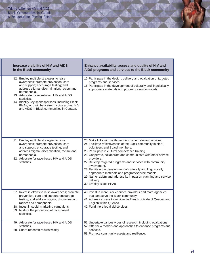| <b>Increase visibility of HIV and AIDS</b><br>in the Black community                                                                                                                                                                                                                                                                                                                        | Enhance availability, access and quality of HIV and<br>AIDS programs and services to the Black community                                                                                                                                                                                                                                                                                                                                                                                                                                                                                                        |
|---------------------------------------------------------------------------------------------------------------------------------------------------------------------------------------------------------------------------------------------------------------------------------------------------------------------------------------------------------------------------------------------|-----------------------------------------------------------------------------------------------------------------------------------------------------------------------------------------------------------------------------------------------------------------------------------------------------------------------------------------------------------------------------------------------------------------------------------------------------------------------------------------------------------------------------------------------------------------------------------------------------------------|
| 12. Employ multiple strategies to raise<br>awareness; promote prevention, care<br>and support; encourage testing; and<br>address stigma, discrimination, racism and<br>homophobia.<br>13. Advocate for race-based HIV and AIDS<br>statistics.<br>14. Identify key spokespersons, including Black<br>PHAs, who will be a strong voice around HIV<br>and AIDS in Black communities in Canada. | 15. Participate in the design, delivery and evaluation of targeted<br>programs and services.<br>16. Participate in the development of culturally and linguistically<br>appropriate materials and program/ service models.                                                                                                                                                                                                                                                                                                                                                                                       |
| 21. Employ multiple strategies to raise<br>awareness; promote prevention, care<br>and support; encourage testing; and<br>address stigma, discrimination, racism and<br>homophobia.<br>22. Advocate for race-based HIV and AIDS<br>statistics.                                                                                                                                               | 23. Make links with settlement and other relevant services.<br>24. Facilitate reflectiveness of the Black community in staff,<br>volunteers and Board members.<br>25. Participate in cultural competence training.<br>26. Cooperate, collaborate and communicate with other service<br>providers.<br>27. Develop targeted programs and services with community<br>involvement.<br>28. Facilitate the development of culturally and linguistically<br>appropriate materials and program/service models.<br>29. Name racism and address its impact on planning and service<br>delivery.<br>30. Employ Black PHAs. |
| 37. Invest in efforts to raise awareness; promote<br>prevention, care and support; encourage<br>testing; and address stigma, discrimination,<br>racism and homophobia<br>38. Invest in social marketing campaigns.<br>39. Nurture the production of race-based<br>statistics.                                                                                                               | 40. Invest in more Black service providers and more agencies<br>that can serve the Black community.<br>41. Address access to services in French outside of Québec and<br>English within Québec.<br>42. Fund more legal aid services.                                                                                                                                                                                                                                                                                                                                                                            |
| 49. Advocate for race-based HIV and AIDS<br>statistics.<br>50. Share research results widely.                                                                                                                                                                                                                                                                                               | 51. Undertake various types of research, including evaluations.<br>52. Offer new models and approaches to enhance programs and<br>services.<br>53. Promote community assets and resilience.                                                                                                                                                                                                                                                                                                                                                                                                                     |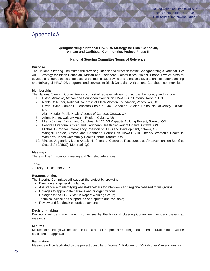## Appendix A

#### **Springboarding a National HIV/AIDS Strategy for Black Canadian, African and Caribbean Communities Project, Phase II**

#### **National Steering Committee Terms of Reference**

#### **Purpose**

The National Steering Committee will provide guidance and direction for the Springboarding a National HIV/ AIDS Strategy for Black Canadian, African and Caribbean Communities Project, Phase II which aims to develop a resource that can be used at the municipal, provincial and national level to enable better planning and delivery of HIV/AIDS programs and services to Black Canadian, African and Caribbean communities.

#### **Membership**

The National Steering Committee will consist of representatives from across the country and include:

- 1. Esther Amoako, African and Caribbean Council on HIV/AIDS in Ontario, Toronto, ON
- 2. Nalda Callender, National Congress of Black Women Foundation, Vancouver, BC
- 3. David Divine, James R. Johnston Chair in Black Canadian Studies, Dalhousie University, Halifax, NS
- 4. Alain Houde, Public Health Agency of Canada, Ottawa, ON
- 5. Arlene Hunte, Calgary Health Region, Calgary, AB
- 6. LLana James, African and Caribbean HIV/AIDS Capacity Building Project, Toronto, ON
- 7. Félicité Murangira, African and Caribbean Health Network of Ottawa, Ottawa, ON
- 8. Michael O'Connor, Interagency Coalition on AIDS and Development, Ottawa, ON
- 9. Wangari Tharao, African and Caribbean Council on HIV/AIDS in Ontario/ Women's Health in Women's Hands Community Health Centre, Toronto, ON
- 10. Vincent Vegetarian/ Marie Anésie Harérimana, Centre de Ressources et d'Interventions en Santé et Sexualité (CRISS), Montreal, QC

#### **Meetings**

There will be 1 in-person meeting and 3-4 teleconferences.

#### **Term**

January – December 2007.

#### **Responsibilities**

The Steering Committee will support the project by providing:

- Direction and general quidance:
- Assistance with identifying key stakeholders for interviews and regionally-based focus groups;
- Linkages to appropriate persons and/or organizations;
- Linkages to the PHAC Status Report Working Group;
- Technical advise and support, as appropriate and available;
- Review and feedback on draft documents.

#### **Decision-making**

Decisions will be made through consensus by the National Steering Committee members present at meetings.

#### **Minutes**

Minutes of meetings will be taken to form a part of the project reporting requirements. Draft minutes will be circulated for approval.

#### **Facilitation**

Meetings will be facilitated by the project consultant, Dionne A. Falconer of DA Falconer & Associates Inc.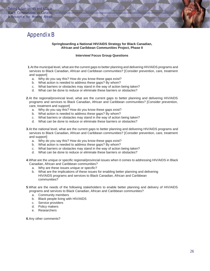## Appendix B

#### **Springboarding a National HIV/AIDS Strategy for Black Canadian, African and Caribbean Communities Project, Phase II**

#### **Interview/ Focus Group Questions**

- **1**.At the municipal level, what are the current gaps to better planning and delivering HIV/AIDS programs and services to Black Canadian, African and Caribbean communities? [Consider prevention, care, treatment and support]
	- a. Why do you say this? How do you know these gaps exist?
	- b. What action is needed to address these gaps? By whom?
	- c. What barriers or obstacles may stand in the way of action being taken?
	- d. What can be done to reduce or eliminate these barriers or obstacles?
- **2**.At the regional/provincial level, what are the current gaps to better planning and delivering HIV/AIDS programs and services to Black Canadian, African and Caribbean communities? [Consider prevention, care, treatment and support]
	- a. Why do you say this? How do you know these gaps exist?
	- b. What action is needed to address these gaps? By whom?
	- c. What barriers or obstacles may stand in the way of action being taken?
	- d. What can be done to reduce or eliminate these barriers or obstacles?
- **3**.At the national level, what are the current gaps to better planning and delivering HIV/AIDS programs and services to Black Canadian, African and Caribbean communities? [Consider prevention, care, treatment and support]
	- a. Why do you say this? How do you know these gaps exist?
	- b. What action is needed to address these gaps? By whom?
	- c. What barriers or obstacles may stand in the way of action being taken?
	- d. What can be done to reduce or eliminate these barriers or obstacles?
- **4**.What are the unique or specific regional/provincial issues when it comes to addressing HIV/AIDS in Black Canadian, African and Caribbean communities?
	- a. Why are these issues unique or specific?
	- b. What are the implications of these issues for enabling better planning and delivering HIV/AIDS programs and services to Black Canadian, African and Caribbean communities?
- **5**.What are the needs of the following stakeholders to enable better planning and delivery of HIV/AIDS programs and services to Black Canadian, African and Caribbean communities?
	- a. Community members
	- b. Black people living with HIV/AIDS
	- c. Service providers
	- d. Policy makers
	- e. Researchers

**6**.Any other comments?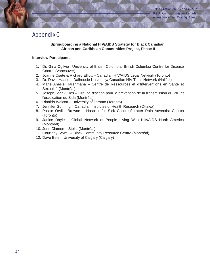## Appendix C

#### **Springboarding a National HIV/AIDS Strategy for Black Canadian, African and Caribbean Communities Project, Phase II**

#### **Interview Participants**

- 1. Dr. Gina Ogilvie –University of British Columbia/ British Columbia Centre for Disease Control (Vancouver)
- 2. Joanne Csete & Richard Elliott Canadian HIV/AIDS Legal Network (Toronto)
- 3. Dr. David Haase Dalhousie University/ Canadian HIV Trials Network (Halifax)
- 4. Marie Anésie Harérimana Centre de Ressources et dInterventions en Santé et Sexualité (Montréal)
- 5. Joseph Jean-Gilles Groupe d'action pour la prévention de la transmission du VIH et l'éradication du Sida (Montréal)
- 6. Rinaldo Walcott University of Toronto (Toronto)
- 7. Jennifer Gunning Canadian Institutes of Health Research (Ottawa)
- 8. Pastor Orville Browne Hospital for Sick Children/ Latter Rain Adventist Church (Toronto)
- 9. Janice Dayle Global Network of People Living With HIV/AIDS North America (Montréal)
- 10. Jenn Clamen Stella (Montréal)
- 11. Courtney Sewell Black Community Resource Centre (Montréal)
- 12. Dave Este University of Calgary (Calgary)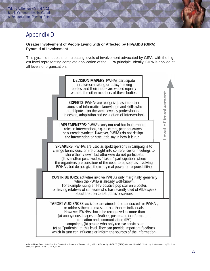## Appendix D

#### **Greater Involvement of People Living with or Affected by HIV/AIDS (GIPA) Pyramid of Involvement**

This pyramid models the increasing levels of involvement advocated by GIPA, with the highest level representing complete application of the GIPA principle. Ideally, GIPA is applied at all levels of organization.



Adapted from Principle to Practice: Greater Involvement of People Living with or Affected by HIV/AIDS (GIPA) (Geneva: UNAIDS, 1999) http://data.unaids.org/Publica-<br>tions/IRC-pub01/JC252-GIPA-i\_en.pdf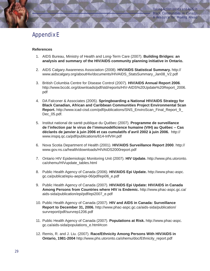## Appendix E

#### **References**

- 1. AIDS Bureau, Ministry of Health and Long-Term Care (2007). **Building Bridges: an analysis and summary of the HIV/AIDS community planning initiative in Ontario.**
- 2. AIDS Calgary Awareness Association (2008). **HIV/AIDS Statistical Summary.** http:// www.aidscalgary.org/aboutHiv/documents/HIVAIDS\_StatsSummary\_Jan08\_V2.pdf
- 3. British Columbia Centre for Disease Control (2007). **HIV/AIDS Annual Report 2006**. http://www.bccdc.org/downloads/pdf/std/reports/HIV-AIDS%20Update%20Report\_2006. pdf
- 4. DA Falconer & Associates (2005). **Springboarding a National HIV/AIDS Strategy for Black Canadian, African and Caribbean Communities Project Environmental Scan Report.** http://www.icad-cisd.com/pdf/publications/SNS\_EnviroScan\_Final\_Report\_9\_ Dec\_05.pdf.
- 5. Institut national de santé publique du Québec (2007). **Programme de surveillance de linfection par le virus de limmunodéficience humaine (VIH) au Québec – Cas déclarés de janvier à juin 2006 et cas cumulatifs davril 2002 à juin 2006.** http:// www.inspq.qc.ca/pdf/publications/614-InfVIH.pdf
- 6. Nova Scotia Department of Health (2001). **HIV/AIDS Surveillance Report 2000**. http:// www.gov.ns.ca/health/downloads/HIVAIDS2000report.pdf
- 7. Ontario HIV Epidemiologic Monitoring Unit (2007). **HIV Update.** http://www.phs.utoronto. ca/ohemu/HIVupdate\_tables.html
- 8. Public Health Agency of Canada (2006). **HIV/AIDS Epi Update.** http://www.phac-aspc. gc.ca/publicat/epiu-aepi/epi-06/pdf/epi06\_e.pdf
- 9. Public Health Agency of Canada (2007). **HIV/AIDS Epi Update: HIV/AIDS in Canada Among Persons from Countries where HIV is Endemic.** http://www.phac-aspc.gc.ca/ aids-sida/publication/epi/pdf/epi2007\_e.pdf
- 10. Public Health Agency of Canada (2007). **HIV and AIDS in Canada: Surveillance Report to December 31, 2006.** http://www.phac-aspc.gc.ca/aids-sida/publication/ survreport/pdf/survrep1206.pdf
- 11. Public Health Agency of Canada (2007). **Populations at Risk.** http://www.phac-aspc. gc.ca/aids-sida/populations\_e.html#con
- 12. Remis, R. and J. Liu. (2007). **Race/Ethnicity Among Persons With HIV/AIDS in Ontario, 1981-2004** http://www.phs.utoronto.ca/ohemu/doc/Ethnicity\_report.pdf